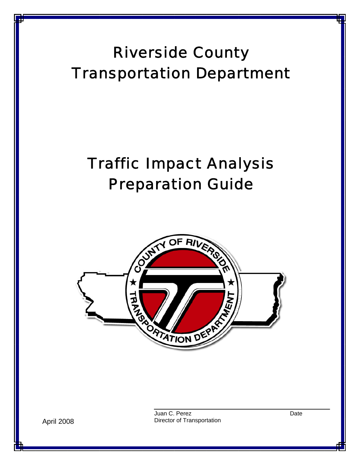# Riverside County Transportation Department

# Traffic Impact Analysis Preparation Guide



Juan C. Perez **Date** Director of Transportation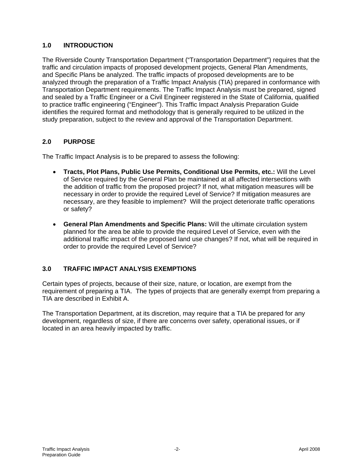# **1.0 INTRODUCTION**

The Riverside County Transportation Department ("Transportation Department") requires that the traffic and circulation impacts of proposed development projects, General Plan Amendments, and Specific Plans be analyzed. The traffic impacts of proposed developments are to be analyzed through the preparation of a Traffic Impact Analysis (TIA) prepared in conformance with Transportation Department requirements. The Traffic Impact Analysis must be prepared, signed and sealed by a Traffic Engineer or a Civil Engineer registered in the State of California, qualified to practice traffic engineering ("Engineer"). This Traffic Impact Analysis Preparation Guide identifies the required format and methodology that is generally required to be utilized in the study preparation, subject to the review and approval of the Transportation Department.

# **2.0 PURPOSE**

The Traffic Impact Analysis is to be prepared to assess the following:

- **Tracts, Plot Plans, Public Use Permits, Conditional Use Permits, etc.:** Will the Level of Service required by the General Plan be maintained at all affected intersections with the addition of traffic from the proposed project? If not, what mitigation measures will be necessary in order to provide the required Level of Service? If mitigation measures are necessary, are they feasible to implement? Will the project deteriorate traffic operations or safety?
- **General Plan Amendments and Specific Plans:** Will the ultimate circulation system planned for the area be able to provide the required Level of Service, even with the additional traffic impact of the proposed land use changes? If not, what will be required in order to provide the required Level of Service?

# **3.0 TRAFFIC IMPACT ANALYSIS EXEMPTIONS**

Certain types of projects, because of their size, nature, or location, are exempt from the requirement of preparing a TIA. The types of projects that are generally exempt from preparing a TIA are described in Exhibit A.

The Transportation Department, at its discretion, may require that a TIA be prepared for any development, regardless of size, if there are concerns over safety, operational issues, or if located in an area heavily impacted by traffic.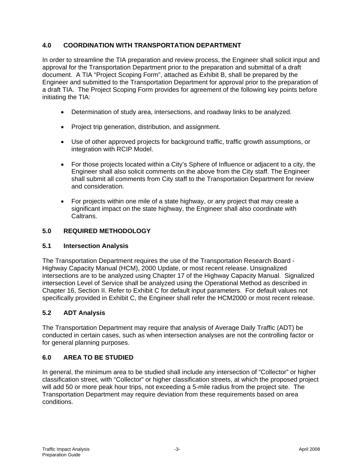# **4.0 COORDINATION WITH TRANSPORTATION DEPARTMENT**

In order to streamline the TIA preparation and review process, the Engineer shall solicit input and approval for the Transportation Department prior to the preparation and submittal of a draft document. A TIA "Project Scoping Form", attached as Exhibit B, shall be prepared by the Engineer and submitted to the Transportation Department for approval prior to the preparation of a draft TIA. The Project Scoping Form provides for agreement of the following key points before initiating the TIA:

- Determination of study area, intersections, and roadway links to be analyzed.
- Project trip generation, distribution, and assignment.
- Use of other approved projects for background traffic, traffic growth assumptions, or integration with RCIP Model.
- For those projects located within a City's Sphere of Influence or adjacent to a city, the Engineer shall also solicit comments on the above from the City staff. The Engineer shall submit all comments from City staff to the Transportation Department for review and consideration.
- For projects within one mile of a state highway, or any project that may create a significant impact on the state highway, the Engineer shall also coordinate with Caltrans.

## **5.0 REQUIRED METHODOLOGY**

#### **5.1 Intersection Analysis**

The Transportation Department requires the use of the Transportation Research Board - Highway Capacity Manual (HCM), 2000 Update, or most recent release. Unsignalized intersections are to be analyzed using Chapter 17 of the Highway Capacity Manual. Signalized intersection Level of Service shall be analyzed using the Operational Method as described in Chapter 16, Section II. Refer to Exhibit C for default input parameters. For default values not specifically provided in Exhibit C, the Engineer shall refer the HCM2000 or most recent release.

# **5.2 ADT Analysis**

The Transportation Department may require that analysis of Average Daily Traffic (ADT) be conducted in certain cases, such as when intersection analyses are not the controlling factor or for general planning purposes.

#### **6.0 AREA TO BE STUDIED**

In general, the minimum area to be studied shall include any intersection of "Collector" or higher classification street, with "Collector" or higher classification streets, at which the proposed project will add 50 or more peak hour trips, not exceeding a 5-mile radius from the project site. The Transportation Department may require deviation from these requirements based on area conditions.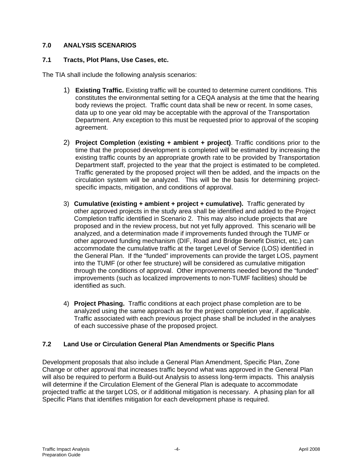# **7.0 ANALYSIS SCENARIOS**

## **7.1 Tracts, Plot Plans, Use Cases, etc.**

The TIA shall include the following analysis scenarios:

- 1) **Existing Traffic.** Existing traffic will be counted to determine current conditions. This constitutes the environmental setting for a CEQA analysis at the time that the hearing body reviews the project. Traffic count data shall be new or recent. In some cases, data up to one year old may be acceptable with the approval of the Transportation Department. Any exception to this must be requested prior to approval of the scoping agreement.
- 2) **Project Completion** (**existing + ambient + project)**. Traffic conditions prior to the time that the proposed development is completed will be estimated by increasing the existing traffic counts by an appropriate growth rate to be provided by Transportation Department staff, projected to the year that the project is estimated to be completed. Traffic generated by the proposed project will then be added, and the impacts on the circulation system will be analyzed. This will be the basis for determining projectspecific impacts, mitigation, and conditions of approval.
- 3) **Cumulative (existing + ambient + project + cumulative).** Traffic generated by other approved projects in the study area shall be identified and added to the Project Completion traffic identified in Scenario 2. This may also include projects that are proposed and in the review process, but not yet fully approved. This scenario will be analyzed, and a determination made if improvements funded through the TUMF or other approved funding mechanism (DIF, Road and Bridge Benefit District, etc.) can accommodate the cumulative traffic at the target Level of Service (LOS) identified in the General Plan. If the "funded" improvements can provide the target LOS, payment into the TUMF (or other fee structure) will be considered as cumulative mitigation through the conditions of approval. Other improvements needed beyond the "funded" improvements (such as localized improvements to non-TUMF facilities) should be identified as such.
- 4) **Project Phasing.** Traffic conditions at each project phase completion are to be analyzed using the same approach as for the project completion year, if applicable. Traffic associated with each previous project phase shall be included in the analyses of each successive phase of the proposed project.

# **7.2 Land Use or Circulation General Plan Amendments or Specific Plans**

 Development proposals that also include a General Plan Amendment, Specific Plan, Zone Change or other approval that increases traffic beyond what was approved in the General Plan will also be required to perform a Build-out Analysis to assess long-term impacts. This analysis will determine if the Circulation Element of the General Plan is adequate to accommodate projected traffic at the target LOS, or if additional mitigation is necessary. A phasing plan for all Specific Plans that identifies mitigation for each development phase is required.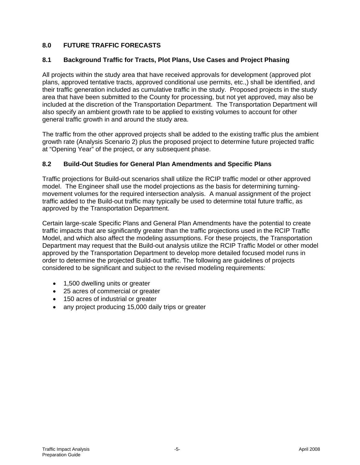# **8.0 FUTURE TRAFFIC FORECASTS**

## **8.1 Background Traffic for Tracts, Plot Plans, Use Cases and Project Phasing**

All projects within the study area that have received approvals for development (approved plot plans, approved tentative tracts, approved conditional use permits, etc.,) shall be identified, and their traffic generation included as cumulative traffic in the study. Proposed projects in the study area that have been submitted to the County for processing, but not yet approved, may also be included at the discretion of the Transportation Department. The Transportation Department will also specify an ambient growth rate to be applied to existing volumes to account for other general traffic growth in and around the study area.

The traffic from the other approved projects shall be added to the existing traffic plus the ambient growth rate (Analysis Scenario 2) plus the proposed project to determine future projected traffic at "Opening Year" of the project, or any subsequent phase.

#### **8.2 Build-Out Studies for General Plan Amendments and Specific Plans**

Traffic projections for Build-out scenarios shall utilize the RCIP traffic model or other approved model. The Engineer shall use the model projections as the basis for determining turningmovement volumes for the required intersection analysis. A manual assignment of the project traffic added to the Build-out traffic may typically be used to determine total future traffic, as approved by the Transportation Department.

Certain large-scale Specific Plans and General Plan Amendments have the potential to create traffic impacts that are significantly greater than the traffic projections used in the RCIP Traffic Model, and which also affect the modeling assumptions. For these projects, the Transportation Department may request that the Build-out analysis utilize the RCIP Traffic Model or other model approved by the Transportation Department to develop more detailed focused model runs in order to determine the projected Build-out traffic. The following are guidelines of projects considered to be significant and subject to the revised modeling requirements:

- 1,500 dwelling units or greater
- 25 acres of commercial or greater
- 150 acres of industrial or greater
- any project producing 15,000 daily trips or greater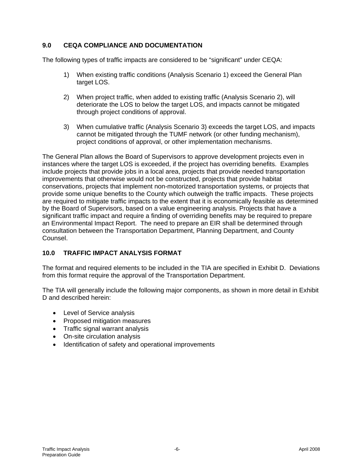# **9.0 CEQA COMPLIANCE AND DOCUMENTATION**

The following types of traffic impacts are considered to be "significant" under CEQA:

- 1) When existing traffic conditions (Analysis Scenario 1) exceed the General Plan target LOS.
- 2) When project traffic, when added to existing traffic (Analysis Scenario 2), will deteriorate the LOS to below the target LOS, and impacts cannot be mitigated through project conditions of approval.
- 3) When cumulative traffic (Analysis Scenario 3) exceeds the target LOS, and impacts cannot be mitigated through the TUMF network (or other funding mechanism), project conditions of approval, or other implementation mechanisms.

The General Plan allows the Board of Supervisors to approve development projects even in instances where the target LOS is exceeded, if the project has overriding benefits. Examples include projects that provide jobs in a local area, projects that provide needed transportation improvements that otherwise would not be constructed, projects that provide habitat conservations, projects that implement non-motorized transportation systems, or projects that provide some unique benefits to the County which outweigh the traffic impacts. These projects are required to mitigate traffic impacts to the extent that it is economically feasible as determined by the Board of Supervisors, based on a value engineering analysis. Projects that have a significant traffic impact and require a finding of overriding benefits may be required to prepare an Environmental Impact Report. The need to prepare an EIR shall be determined through consultation between the Transportation Department, Planning Department, and County Counsel.

# **10.0 TRAFFIC IMPACT ANALYSIS FORMAT**

The format and required elements to be included in the TIA are specified in Exhibit D. Deviations from this format require the approval of the Transportation Department.

The TIA will generally include the following major components, as shown in more detail in Exhibit D and described herein:

- Level of Service analysis
- Proposed mitigation measures
- Traffic signal warrant analysis
- On-site circulation analysis
- Identification of safety and operational improvements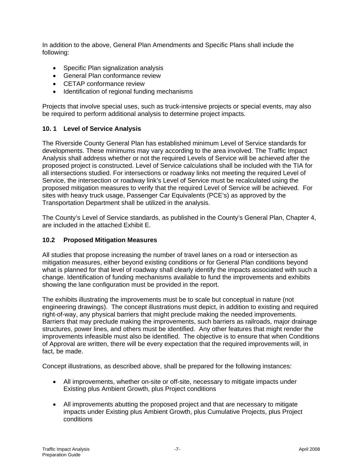In addition to the above, General Plan Amendments and Specific Plans shall include the following:

- Specific Plan signalization analysis
- General Plan conformance review
- CETAP conformance review
- Identification of regional funding mechanisms

Projects that involve special uses, such as truck-intensive projects or special events, may also be required to perform additional analysis to determine project impacts.

#### **10. 1 Level of Service Analysis**

The Riverside County General Plan has established minimum Level of Service standards for developments. These minimums may vary according to the area involved. The Traffic Impact Analysis shall address whether or not the required Levels of Service will be achieved after the proposed project is constructed. Level of Service calculations shall be included with the TIA for all intersections studied. For intersections or roadway links not meeting the required Level of Service, the intersection or roadway link's Level of Service must be recalculated using the proposed mitigation measures to verify that the required Level of Service will be achieved. For sites with heavy truck usage, Passenger Car Equivalents (PCE's) as approved by the Transportation Department shall be utilized in the analysis.

The County's Level of Service standards, as published in the County's General Plan, Chapter 4, are included in the attached Exhibit E.

#### **10.2 Proposed Mitigation Measures**

All studies that propose increasing the number of travel lanes on a road or intersection as mitigation measures, either beyond existing conditions or for General Plan conditions beyond what is planned for that level of roadway shall clearly identify the impacts associated with such a change. Identification of funding mechanisms available to fund the improvements and exhibits showing the lane configuration must be provided in the report.

The exhibits illustrating the improvements must be to scale but conceptual in nature (not engineering drawings). The concept illustrations must depict, in addition to existing and required right-of-way, any physical barriers that might preclude making the needed improvements. Barriers that may preclude making the improvements, such barriers as railroads, major drainage structures, power lines, and others must be identified. Any other features that might render the improvements infeasible must also be identified. The objective is to ensure that when Conditions of Approval are written, there will be every expectation that the required improvements will, in fact, be made.

Concept illustrations, as described above, shall be prepared for the following instances:

- All improvements, whether on-site or off-site, necessary to mitigate impacts under Existing plus Ambient Growth, plus Project conditions
- All improvements abutting the proposed project and that are necessary to mitigate impacts under Existing plus Ambient Growth, plus Cumulative Projects, plus Project conditions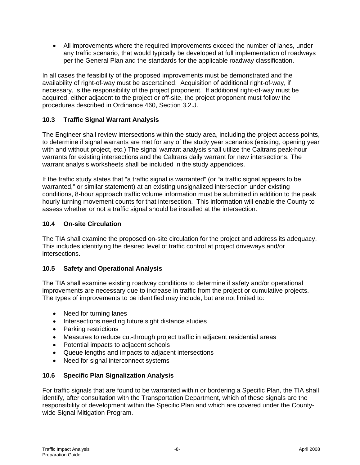• All improvements where the required improvements exceed the number of lanes, under any traffic scenario, that would typically be developed at full implementation of roadways per the General Plan and the standards for the applicable roadway classification.

In all cases the feasibility of the proposed improvements must be demonstrated and the availability of right-of-way must be ascertained. Acquisition of additional right-of-way, if necessary, is the responsibility of the project proponent. If additional right-of-way must be acquired, either adjacent to the project or off-site, the project proponent must follow the procedures described in Ordinance 460, Section 3.2.J.

# **10.3 Traffic Signal Warrant Analysis**

The Engineer shall review intersections within the study area, including the project access points, to determine if signal warrants are met for any of the study year scenarios (existing, opening year with and without project, etc.) The signal warrant analysis shall utilize the Caltrans peak-hour warrants for existing intersections and the Caltrans daily warrant for new intersections. The warrant analysis worksheets shall be included in the study appendices.

If the traffic study states that "a traffic signal is warranted" (or "a traffic signal appears to be warranted," or similar statement) at an existing unsignalized intersection under existing conditions, 8-hour approach traffic volume information must be submitted in addition to the peak hourly turning movement counts for that intersection. This information will enable the County to assess whether or not a traffic signal should be installed at the intersection.

# **10.4 On-site Circulation**

The TIA shall examine the proposed on-site circulation for the project and address its adequacy. This includes identifying the desired level of traffic control at project driveways and/or intersections.

# **10.5 Safety and Operational Analysis**

The TIA shall examine existing roadway conditions to determine if safety and/or operational improvements are necessary due to increase in traffic from the project or cumulative projects. The types of improvements to be identified may include, but are not limited to:

- Need for turning lanes
- Intersections needing future sight distance studies
- Parking restrictions
- Measures to reduce cut-through project traffic in adjacent residential areas
- Potential impacts to adjacent schools
- Queue lengths and impacts to adjacent intersections
- Need for signal interconnect systems

# **10.6 Specific Plan Signalization Analysis**

For traffic signals that are found to be warranted within or bordering a Specific Plan, the TIA shall identify, after consultation with the Transportation Department, which of these signals are the responsibility of development within the Specific Plan and which are covered under the Countywide Signal Mitigation Program.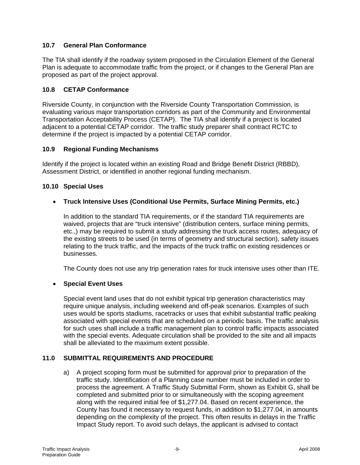# **10.7 General Plan Conformance**

The TIA shall identify if the roadway system proposed in the Circulation Element of the General Plan is adequate to accommodate traffic from the project, or if changes to the General Plan are proposed as part of the project approval.

## **10.8 CETAP Conformance**

Riverside County, in conjunction with the Riverside County Transportation Commission, is evaluating various major transportation corridors as part of the Community and Environmental Transportation Acceptability Process (CETAP). The TIA shall identify if a project is located adjacent to a potential CETAP corridor. The traffic study preparer shall contract RCTC to determine if the project is impacted by a potential CETAP corridor.

#### **10.9 Regional Funding Mechanisms**

Identify if the project is located within an existing Road and Bridge Benefit District (RBBD), Assessment District, or identified in another regional funding mechanism.

# **10.10 Special Uses**

## • **Truck Intensive Uses (Conditional Use Permits, Surface Mining Permits, etc.)**

In addition to the standard TIA requirements, or if the standard TIA requirements are waived, projects that are "truck intensive" (distribution centers, surface mining permits, etc.,) may be required to submit a study addressing the truck access routes, adequacy of the existing streets to be used (in terms of geometry and structural section), safety issues relating to the truck traffic, and the impacts of the truck traffic on existing residences or businesses.

The County does not use any trip generation rates for truck intensive uses other than ITE.

#### • **Special Event Uses**

Special event land uses that do not exhibit typical trip generation characteristics may require unique analysis, including weekend and off-peak scenarios. Examples of such uses would be sports stadiums, racetracks or uses that exhibit substantial traffic peaking associated with special events that are scheduled on a periodic basis. The traffic analysis for such uses shall include a traffic management plan to control traffic impacts associated with the special events. Adequate circulation shall be provided to the site and all impacts shall be alleviated to the maximum extent possible.

#### **11.0 SUBMITTAL REQUIREMENTS AND PROCEDURE**

a) A project scoping form must be submitted for approval prior to preparation of the traffic study. Identification of a Planning case number must be included in order to process the agreement. A Traffic Study Submittal Form, shown as Exhibit G, shall be completed and submitted prior to or simultaneously with the scoping agreement along with the required initial fee of \$1,277.04. Based on recent experience, the County has found it necessary to request funds, in addition to \$1,277.04, in amounts depending on the complexity of the project. This often results in delays in the Traffic Impact Study report. To avoid such delays, the applicant is advised to contact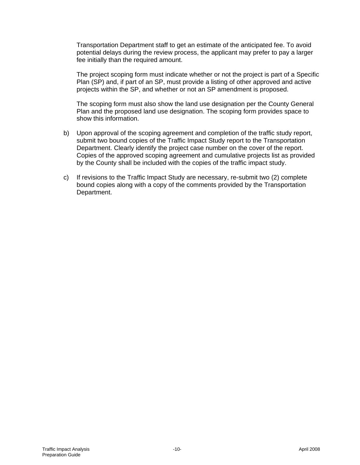Transportation Department staff to get an estimate of the anticipated fee. To avoid potential delays during the review process, the applicant may prefer to pay a larger fee initially than the required amount.

The project scoping form must indicate whether or not the project is part of a Specific Plan (SP) and, if part of an SP, must provide a listing of other approved and active projects within the SP, and whether or not an SP amendment is proposed.

The scoping form must also show the land use designation per the County General Plan and the proposed land use designation. The scoping form provides space to show this information.

- b) Upon approval of the scoping agreement and completion of the traffic study report, submit two bound copies of the Traffic Impact Study report to the Transportation Department. Clearly identify the project case number on the cover of the report. Copies of the approved scoping agreement and cumulative projects list as provided by the County shall be included with the copies of the traffic impact study.
- c) If revisions to the Traffic Impact Study are necessary, re-submit two (2) complete bound copies along with a copy of the comments provided by the Transportation Department.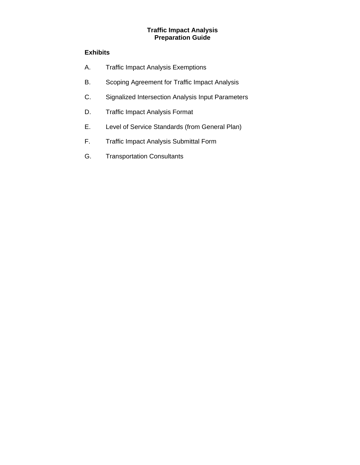#### **Traffic Impact Analysis Preparation Guide**

## **Exhibits**

- A. Traffic Impact Analysis Exemptions
- B. Scoping Agreement for Traffic Impact Analysis
- C. Signalized Intersection Analysis Input Parameters
- D. Traffic Impact Analysis Format
- E. Level of Service Standards (from General Plan)
- F. Traffic Impact Analysis Submittal Form
- G. Transportation Consultants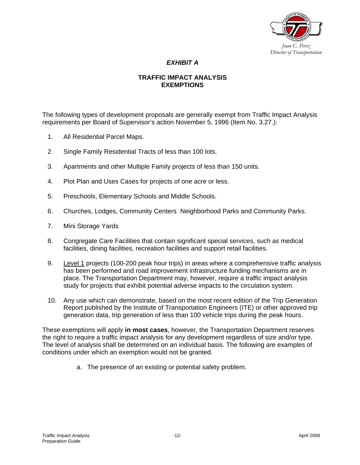

## *EXHIBIT A*

#### **TRAFFIC IMPACT ANALYSIS EXEMPTIONS**

The following types of development proposals are generally exempt from Traffic Impact Analysis requirements per Board of Supervisor's action November 5, 1996 (Item No. 3.27.):

- 1. All Residential Parcel Maps.
- 2. Single Family Residential Tracts of less than 100 lots.
- 3. Apartments and other Multiple Family projects of less than 150 units.
- 4. Plot Plan and Uses Cases for projects of one acre or less.
- 5. Preschools, Elementary Schools and Middle Schools.
- 6. Churches, Lodges, Community Centers, Neighborhood Parks and Community Parks.
- 7. Mini Storage Yards
- 8. Congregate Care Facilities that contain significant special services, such as medical facilities, dining facilities, recreation facilities and support retail facilities.
- 9. Level 1 projects (100-200 peak hour trips) in areas where a comprehensive traffic analysis has been performed and road improvement infrastructure funding mechanisms are in place. The Transportation Department may, however, require a traffic impact analysis study for projects that exhibit potential adverse impacts to the circulation system.
- 10. Any use which can demonstrate, based on the most recent edition of the Trip Generation Report published by the Institute of Transportation Engineers (ITE) or other approved trip generation data, trip generation of less than 100 vehicle trips during the peak hours.

These exemptions will apply **in most cases**, however, the Transportation Department reserves the right to require a traffic impact analysis for any development regardless of size and/or type. The level of analysis shall be determined on an individual basis. The following are examples of conditions under which an exemption would not be granted.

a. The presence of an existing or potential safety problem.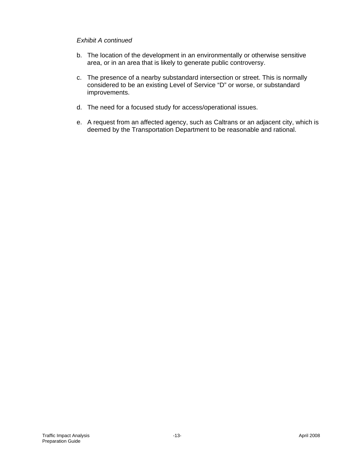#### *Exhibit A continued*

- b. The location of the development in an environmentally or otherwise sensitive area, or in an area that is likely to generate public controversy.
- c. The presence of a nearby substandard intersection or street. This is normally considered to be an existing Level of Service "D" or worse, or substandard improvements.
- d. The need for a focused study for access/operational issues.
- e. A request from an affected agency, such as Caltrans or an adjacent city, which is deemed by the Transportation Department to be reasonable and rational.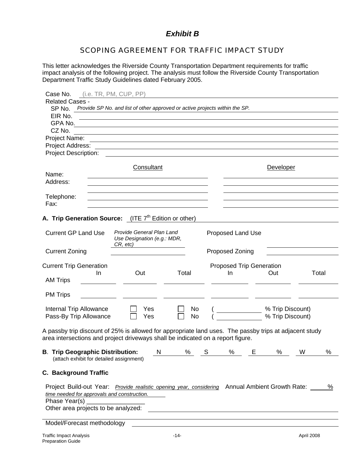# *Exhibit B*

# SCOPING AGREEMENT FOR TRAFFIC IMPACT STUDY

This letter acknowledges the Riverside County Transportation Department requirements for traffic impact analysis of the following project. The analysis must follow the Riverside County Transportation Department Traffic Study Guidelines dated February 2005.

| Case No.                                                                                                                                                      | (i.e. TR, PM, CUP, PP)                                     |           |                                 |    |           |       |   |
|---------------------------------------------------------------------------------------------------------------------------------------------------------------|------------------------------------------------------------|-----------|---------------------------------|----|-----------|-------|---|
| <b>Related Cases -</b>                                                                                                                                        |                                                            |           |                                 |    |           |       |   |
| SP No. Provide SP No. and list of other approved or active projects within the SP.                                                                            |                                                            |           |                                 |    |           |       |   |
| EIR No.                                                                                                                                                       | <u> 1989 - Johann Stein, marwolaethau (b. 1989)</u>        |           |                                 |    |           |       |   |
| CZ No.                                                                                                                                                        |                                                            |           |                                 |    |           |       |   |
| Project Name:                                                                                                                                                 |                                                            |           |                                 |    |           |       |   |
| Project Address:                                                                                                                                              |                                                            |           |                                 |    |           |       |   |
| <b>Project Description:</b>                                                                                                                                   |                                                            |           |                                 |    |           |       |   |
|                                                                                                                                                               |                                                            |           |                                 |    |           |       |   |
|                                                                                                                                                               | Consultant                                                 |           |                                 |    | Developer |       |   |
| Name:                                                                                                                                                         |                                                            |           |                                 |    |           |       |   |
| Address:                                                                                                                                                      | <u> 1989 - Johann Stoff, amerikansk politiker (* 1908)</u> |           |                                 |    |           |       |   |
|                                                                                                                                                               |                                                            |           |                                 |    |           |       |   |
| Telephone:                                                                                                                                                    | <u> 1989 - Johann Stein, mars an de Brasilia (b. 1989)</u> |           |                                 |    |           |       |   |
| Fax:                                                                                                                                                          |                                                            |           |                                 |    |           |       |   |
| <b>A. Trip Generation Source:</b> (ITE $7th$ Edition or other)                                                                                                |                                                            |           |                                 |    |           |       |   |
|                                                                                                                                                               | Provide General Plan Land                                  |           |                                 |    |           |       |   |
| <b>Current GP Land Use</b>                                                                                                                                    | Use Designation (e.g.: MDR,                                |           | Proposed Land Use               |    |           |       |   |
|                                                                                                                                                               | CR, etc)                                                   |           |                                 |    |           |       |   |
| <b>Current Zoning</b>                                                                                                                                         |                                                            |           | Proposed Zoning                 |    |           |       |   |
|                                                                                                                                                               |                                                            |           |                                 |    |           |       |   |
| <b>Current Trip Generation</b>                                                                                                                                |                                                            |           | <b>Proposed Trip Generation</b> |    |           |       |   |
| In.<br><b>AM Trips</b>                                                                                                                                        | Out                                                        | Total     | In.                             |    | Out       | Total |   |
|                                                                                                                                                               |                                                            |           |                                 |    |           |       |   |
| <b>PM Trips</b>                                                                                                                                               |                                                            |           |                                 |    |           |       |   |
|                                                                                                                                                               |                                                            |           |                                 |    |           |       |   |
| Internal Trip Allowance                                                                                                                                       | Yes                                                        | No.       |                                 |    |           |       |   |
| Pass-By Trip Allowance                                                                                                                                        | Yes                                                        | <b>No</b> |                                 |    |           |       |   |
|                                                                                                                                                               |                                                            |           |                                 |    |           |       |   |
| A passby trip discount of 25% is allowed for appropriate land uses. The passby trips at adjacent study                                                        |                                                            |           |                                 |    |           |       |   |
| area intersections and project driveways shall be indicated on a report figure.                                                                               |                                                            |           |                                 |    |           |       |   |
| <b>B. Trip Geographic Distribution:</b> N                                                                                                                     |                                                            | $\%$      | S<br>$\%$                       | E. | %         | W     | % |
| (attach exhibit for detailed assignment)                                                                                                                      |                                                            |           |                                 |    |           |       |   |
|                                                                                                                                                               |                                                            |           |                                 |    |           |       |   |
| <b>C. Background Traffic</b>                                                                                                                                  |                                                            |           |                                 |    |           |       |   |
|                                                                                                                                                               |                                                            |           |                                 |    |           |       |   |
| Project Build-out Year: <i>Provide realistic opening year, considering</i> Annual Ambient Growth Rate: _____ %<br>time needed for approvals and construction. |                                                            |           |                                 |    |           |       |   |
|                                                                                                                                                               |                                                            |           |                                 |    |           |       |   |
|                                                                                                                                                               |                                                            |           |                                 |    |           |       |   |
|                                                                                                                                                               |                                                            |           |                                 |    |           |       |   |

Model/Forecast methodology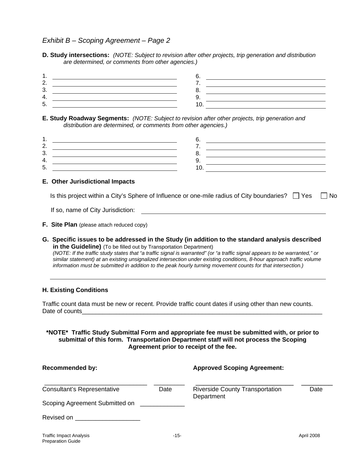# *Exhibit B – Scoping Agreement – Page 2*

**D. Study intersections:** *(NOTE: Subject to revision after other projects, trip generation and distribution are determined, or comments from other agencies.)*



**E. Study Roadway Segments:** *(NOTE: Subject to revision after other projects, trip generation and distribution are determined, or comments from other agencies.)*



#### **E. Other Jurisdictional Impacts**

Is this project within a City's Sphere of Influence or one-mile radius of City boundaries?  $\Box$  Yes  $\Box$  No

If so, name of City Jurisdiction:  $\qquad \qquad \qquad$ 

- **F.** Site Plan (please attach reduced copy)
- **G. Specific issues to be addressed in the Study (in addition to the standard analysis described in the Guideline)** (To be filled out by Transportation Department) *(NOTE: If the traffic study states that "a traffic signal is warranted" (or "a traffic signal appears to be warranted," or similar statement) at an existing unsignalized intersection under existing conditions, 8-hour approach traffic volume information must be submitted in addition to the peak hourly turning movement counts for that intersection.)*

#### **H. Existing Conditions**

Preparation Guide

Traffic count data must be new or recent. Provide traffic count dates if using other than new counts. Date of counts\_\_\_\_\_\_\_\_\_\_\_\_\_\_\_\_\_\_\_\_\_\_\_\_\_\_\_\_\_\_\_\_\_\_\_\_\_\_\_\_\_\_\_\_\_\_\_\_\_\_\_\_\_\_\_\_\_\_\_\_\_\_\_\_\_\_\_\_\_\_

#### **\*NOTE\* Traffic Study Submittal Form and appropriate fee must be submitted with, or prior to submittal of this form. Transportation Department staff will not process the Scoping Agreement prior to receipt of the fee.**

| <b>Recommended by:</b>                                           |      | <b>Approved Scoping Agreement:</b>                   |            |
|------------------------------------------------------------------|------|------------------------------------------------------|------------|
| <b>Consultant's Representative</b>                               | Date | <b>Riverside County Transportation</b><br>Department | Date       |
| Scoping Agreement Submitted on                                   |      |                                                      |            |
| Revised on<br><u> 1989 - John Stone, Amerikaansk politiker (</u> |      |                                                      |            |
| <b>Traffic Impact Analysis</b>                                   | -15- |                                                      | April 2008 |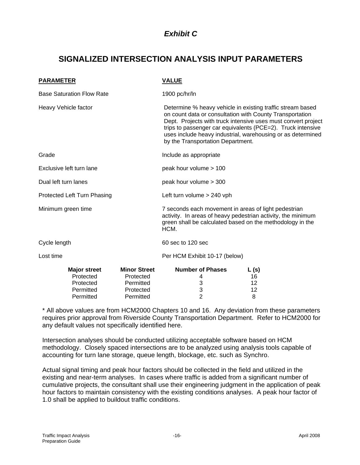# *Exhibit C*

# **SIGNALIZED INTERSECTION ANALYSIS INPUT PARAMETERS**

| <b>PARAMETER</b>                                                        |                                                                         | <b>VALUE</b>                                                                                                                                                                                                                                                                                                                                               |                                                                                                                           |  |
|-------------------------------------------------------------------------|-------------------------------------------------------------------------|------------------------------------------------------------------------------------------------------------------------------------------------------------------------------------------------------------------------------------------------------------------------------------------------------------------------------------------------------------|---------------------------------------------------------------------------------------------------------------------------|--|
| <b>Base Saturation Flow Rate</b>                                        |                                                                         | 1900 pc/hr/ln                                                                                                                                                                                                                                                                                                                                              |                                                                                                                           |  |
| Heavy Vehicle factor                                                    |                                                                         | Determine % heavy vehicle in existing traffic stream based<br>on count data or consultation with County Transportation<br>Dept. Projects with truck intensive uses must convert project<br>trips to passenger car equivalents (PCE=2). Truck intensive<br>uses include heavy industrial, warehousing or as determined<br>by the Transportation Department. |                                                                                                                           |  |
| Grade                                                                   |                                                                         | Include as appropriate                                                                                                                                                                                                                                                                                                                                     |                                                                                                                           |  |
| Exclusive left turn lane                                                |                                                                         | peak hour volume > 100                                                                                                                                                                                                                                                                                                                                     |                                                                                                                           |  |
| Dual left turn lanes                                                    |                                                                         | peak hour volume > 300                                                                                                                                                                                                                                                                                                                                     |                                                                                                                           |  |
| Protected Left Turn Phasing                                             |                                                                         | Left turn volume > 240 vph                                                                                                                                                                                                                                                                                                                                 |                                                                                                                           |  |
| Minimum green time                                                      |                                                                         | 7 seconds each movement in areas of light pedestrian<br>HCM.                                                                                                                                                                                                                                                                                               | activity. In areas of heavy pedestrian activity, the minimum<br>green shall be calculated based on the methodology in the |  |
| Cycle length                                                            |                                                                         | 60 sec to 120 sec                                                                                                                                                                                                                                                                                                                                          |                                                                                                                           |  |
| Lost time                                                               |                                                                         | Per HCM Exhibit 10-17 (below)                                                                                                                                                                                                                                                                                                                              |                                                                                                                           |  |
| <b>Major street</b><br>Protected<br>Protected<br>Permitted<br>Permitted | <b>Minor Street</b><br>Protected<br>Permitted<br>Protected<br>Permitted | <b>Number of Phases</b><br>4<br>3<br>3<br>2                                                                                                                                                                                                                                                                                                                | L(s)<br>16<br>12<br>12<br>8                                                                                               |  |

\* All above values are from HCM2000 Chapters 10 and 16. Any deviation from these parameters requires prior approval from Riverside County Transportation Department. Refer to HCM2000 for any default values not specifically identified here.

Intersection analyses should be conducted utilizing acceptable software based on HCM methodology. Closely spaced intersections are to be analyzed using analysis tools capable of accounting for turn lane storage, queue length, blockage, etc. such as Synchro.

Actual signal timing and peak hour factors should be collected in the field and utilized in the existing and near-term analyses. In cases where traffic is added from a significant number of cumulative projects, the consultant shall use their engineering judgment in the application of peak hour factors to maintain consistency with the existing conditions analyses. A peak hour factor of 1.0 shall be applied to buildout traffic conditions.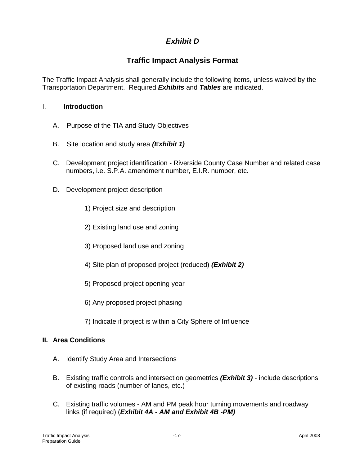# *Exhibit D*

# **Traffic Impact Analysis Format**

The Traffic Impact Analysis shall generally include the following items, unless waived by the Transportation Department. Required *Exhibits* and *Tables* are indicated.

## I. **Introduction**

- A. Purpose of the TIA and Study Objectives
- B. Site location and study area *(Exhibit 1)*
- C. Development project identification Riverside County Case Number and related case numbers, i.e. S.P.A. amendment number, E.I.R. number, etc.
- D. Development project description
	- 1) Project size and description
	- 2) Existing land use and zoning
	- 3) Proposed land use and zoning
	- 4) Site plan of proposed project (reduced) *(Exhibit 2)*
	- 5) Proposed project opening year
	- 6) Any proposed project phasing
	- 7) Indicate if project is within a City Sphere of Influence

#### **II. Area Conditions**

- A. Identify Study Area and Intersections
- B. Existing traffic controls and intersection geometrics *(Exhibit 3)* include descriptions of existing roads (number of lanes, etc.)
- C. Existing traffic volumes AM and PM peak hour turning movements and roadway links (if required) (*Exhibit 4A - AM and Exhibit 4B -PM)*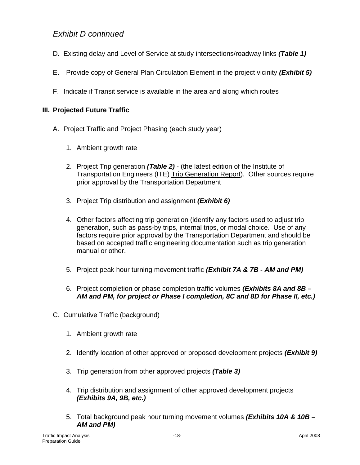# *Exhibit D continued*

- D. Existing delay and Level of Service at study intersections/roadway links *(Table 1)*
- E. Provide copy of General Plan Circulation Element in the project vicinity *(Exhibit 5)*
- F. Indicate if Transit service is available in the area and along which routes

#### **III. Projected Future Traffic**

- A. Project Traffic and Project Phasing (each study year)
	- 1. Ambient growth rate
	- 2. Project Trip generation *(Table 2)* (the latest edition of the Institute of Transportation Engineers (ITE) Trip Generation Report). Other sources require prior approval by the Transportation Department
	- 3. Project Trip distribution and assignment *(Exhibit 6)*
	- 4. Other factors affecting trip generation (identify any factors used to adjust trip generation, such as pass-by trips, internal trips, or modal choice. Use of any factors require prior approval by the Transportation Department and should be based on accepted traffic engineering documentation such as trip generation manual or other.
	- 5. Project peak hour turning movement traffic *(Exhibit 7A & 7B AM and PM)*
	- 6. Project completion or phase completion traffic volumes *(Exhibits 8A and 8B AM and PM, for project or Phase I completion, 8C and 8D for Phase II, etc.)*
- C. Cumulative Traffic (background)
	- 1. Ambient growth rate
	- 2. Identify location of other approved or proposed development projects *(Exhibit 9)*
	- 3. Trip generation from other approved projects *(Table 3)*
	- 4. Trip distribution and assignment of other approved development projects *(Exhibits 9A, 9B, etc.)*
	- 5. Total background peak hour turning movement volumes *(Exhibits 10A & 10B AM and PM)*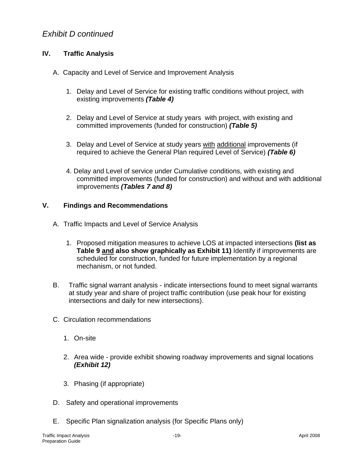# *Exhibit D continued*

## **IV. Traffic Analysis**

- A. Capacity and Level of Service and Improvement Analysis
	- 1. Delay and Level of Service for existing traffic conditions without project, with existing improvements *(Table 4)*
	- 2. Delay and Level of Service at study years with project, with existing and committed improvements (funded for construction) *(Table 5)*
	- 3. Delay and Level of Service at study years with additional improvements (if required to achieve the General Plan required Level of Service) *(Table 6)*
	- 4. Delay and Level of service under Cumulative conditions, with existing and committed improvements (funded for construction) and without and with additional improvements *(Tables 7 and 8)*

#### **V. Findings and Recommendations**

- A. Traffic Impacts and Level of Service Analysis
	- 1. Proposed mitigation measures to achieve LOS at impacted intersections **(list as Table 9 and also show graphically as Exhibit 11)** Identify if improvements are scheduled for construction, funded for future implementation by a regional mechanism, or not funded.
- B. Traffic signal warrant analysis indicate intersections found to meet signal warrants at study year and share of project traffic contribution (use peak hour for existing intersections and daily for new intersections).
- C. Circulation recommendations
	- 1. On-site
	- 2. Area wide provide exhibit showing roadway improvements and signal locations *(Exhibit 12)*
	- 3. Phasing (if appropriate)
- D. Safety and operational improvements
- E. Specific Plan signalization analysis (for Specific Plans only)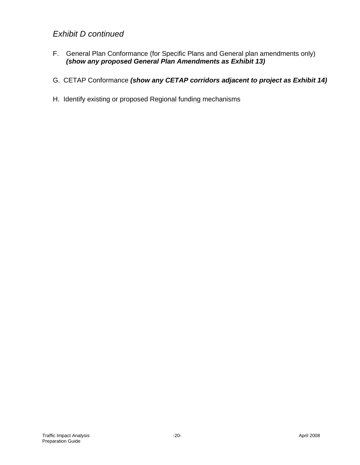# *Exhibit D continued*

- F. General Plan Conformance (for Specific Plans and General plan amendments only) *(show any proposed General Plan Amendments as Exhibit 13)*
- G. CETAP Conformance *(show any CETAP corridors adjacent to project as Exhibit 14)*
- H. Identify existing or proposed Regional funding mechanisms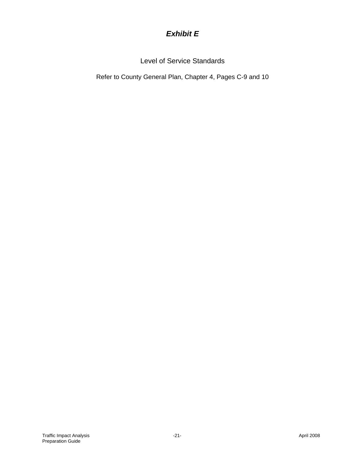# *Exhibit E*

Level of Service Standards

Refer to County General Plan, Chapter 4, Pages C-9 and 10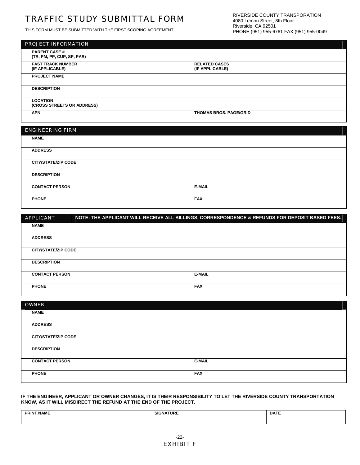# TRAFFIC STUDY SUBMITTAL FORM

THIS FORM MUST BE SUBMITTED WITH THE FIRST SCOPING AGREEMENT

| <b>PROJECT INFORMATION</b>                         |                                         |
|----------------------------------------------------|-----------------------------------------|
| <b>PARENT CASE #</b><br>(TR, PM, PP, CUP, SP, PAR) |                                         |
| <b>FAST TRACK NUMBER</b><br>(IF APPLICABLE)        | <b>RELATED CASES</b><br>(IF APPLICABLE) |
| <b>PROJECT NAME</b>                                |                                         |
| <b>DESCRIPTION</b>                                 |                                         |
| <b>LOCATION</b><br>(CROSS STREETS OR ADDRESS)      |                                         |
| <b>APN</b>                                         | <b>THOMAS BROS, PAGE/GRID</b>           |

| <b>ENGINEERING FIRM</b>    |               |
|----------------------------|---------------|
| <b>NAME</b>                |               |
| <b>ADDRESS</b>             |               |
| <b>CITY/STATE/ZIP CODE</b> |               |
| <b>DESCRIPTION</b>         |               |
| <b>CONTACT PERSON</b>      | <b>E-MAIL</b> |
| <b>PHONE</b>               | <b>FAX</b>    |

| <b>APPLICANT</b>           | NOTE: THE APPLICANT WILL RECEIVE ALL BILLINGS, CORRESPONDENCE & REFUNDS FOR DEPOSIT BASED FEES. |  |  |
|----------------------------|-------------------------------------------------------------------------------------------------|--|--|
| <b>NAME</b>                |                                                                                                 |  |  |
| <b>ADDRESS</b>             |                                                                                                 |  |  |
| <b>CITY/STATE/ZIP CODE</b> |                                                                                                 |  |  |
| <b>DESCRIPTION</b>         |                                                                                                 |  |  |
| <b>CONTACT PERSON</b>      | <b>E-MAIL</b>                                                                                   |  |  |
| <b>PHONE</b>               | <b>FAX</b>                                                                                      |  |  |

| <b>OWNER</b>               |               |
|----------------------------|---------------|
| <b>NAME</b>                |               |
| <b>ADDRESS</b>             |               |
| <b>CITY/STATE/ZIP CODE</b> |               |
| <b>DESCRIPTION</b>         |               |
| <b>CONTACT PERSON</b>      | <b>E-MAIL</b> |
| <b>PHONE</b>               | <b>FAX</b>    |

**IF THE ENGINEER, APPLICANT OR OWNER CHANGES, IT IS THEIR RESPONSIBILITY TO LET THE RIVERSIDE COUNTY TRANSPORTATION KNOW, AS IT WILL MISDIRECT THE REFUND AT THE END OF THE PROJECT.** 

| <b>PRINT NAME</b> | <b>SIGNATURE</b> | <b>DATE</b> |
|-------------------|------------------|-------------|
|                   |                  |             |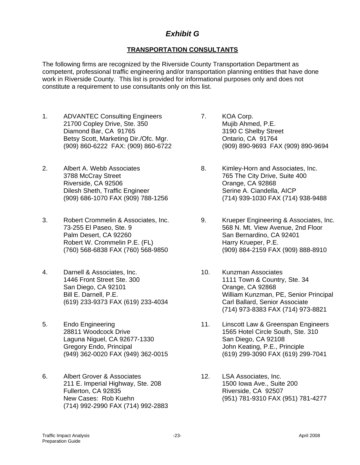# *Exhibit G*

# **TRANSPORTATION CONSULTANTS**

The following firms are recognized by the Riverside County Transportation Department as competent, professional traffic engineering and/or transportation planning entities that have done work in Riverside County. This list is provided for informational purposes only and does not constitute a requirement to use consultants only on this list.

- 1. ADVANTEC Consulting Engineers 21700 Copley Drive, Ste. 350 Diamond Bar, CA 91765 Betsy Scott, Marketing Dir./Ofc. Mgr. (909) 860-6222 FAX: (909) 860-6722
- 2. Albert A. Webb Associates 3788 McCray Street Riverside, CA 92506 Dilesh Sheth, Traffic Engineer (909) 686-1070 FAX (909) 788-1256
- 3. Robert Crommelin & Associates, Inc. 73-255 El Paseo, Ste. 9 Palm Desert, CA 92260 Robert W. Crommelin P.E. (FL) (760) 568-6838 FAX (760) 568-9850
- 4. Darnell & Associates, Inc. 1446 Front Street Ste. 300 San Diego, CA 92101 Bill E. Darnell, P.E. (619) 233-9373 FAX (619) 233-4034
- 5. Endo Engineering 28811 Woodcock Drive Laguna Niguel, CA 92677-1330 Gregory Endo, Principal (949) 362-0020 FAX (949) 362-0015
- 6. Albert Grover & Associates 211 E. Imperial Highway, Ste. 208 Fullerton, CA 92835 New Cases: Rob Kuehn (714) 992-2990 FAX (714) 992-2883
- 7. KOA Corp. Mujib Ahmed, P.E. 3190 C Shelby Street Ontario, CA 91764 (909) 890-9693 FAX (909) 890-9694
- 8. Kimley-Horn and Associates, Inc. 765 The City Drive, Suite 400 Orange, CA 92868 Serine A. Ciandella, AICP (714) 939-1030 FAX (714) 938-9488
- 9. Krueper Engineering & Associates, Inc. 568 N. Mt. View Avenue, 2nd Floor San Bernardino, CA 92401 Harry Krueper, P.E. (909) 884-2159 FAX (909) 888-8910
- 10. Kunzman Associates 1111 Town & Country, Ste. 34 Orange, CA 92868 William Kunzman, PE, Senior Principal Carl Ballard, Senior Associate (714) 973-8383 FAX (714) 973-8821
- 11. Linscott Law & Greenspan Engineers 1565 Hotel Circle South, Ste. 310 San Diego, CA 92108 John Keating, P.E., Principle (619) 299-3090 FAX (619) 299-7041
- 12. LSA Associates, Inc. 1500 Iowa Ave., Suite 200 Riverside, CA 92507 (951) 781-9310 FAX (951) 781-4277